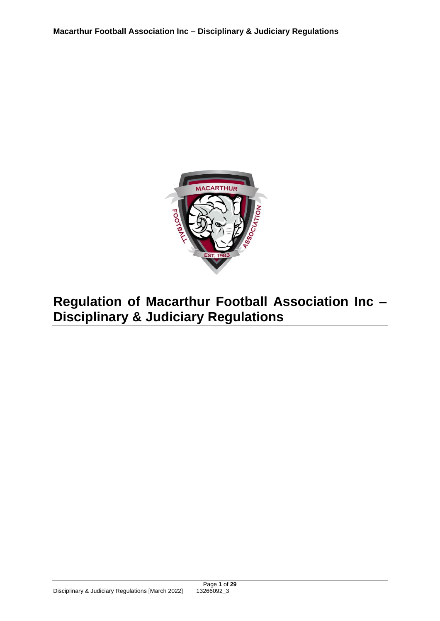

# **Regulation of Macarthur Football Association Inc – Disciplinary & Judiciary Regulations**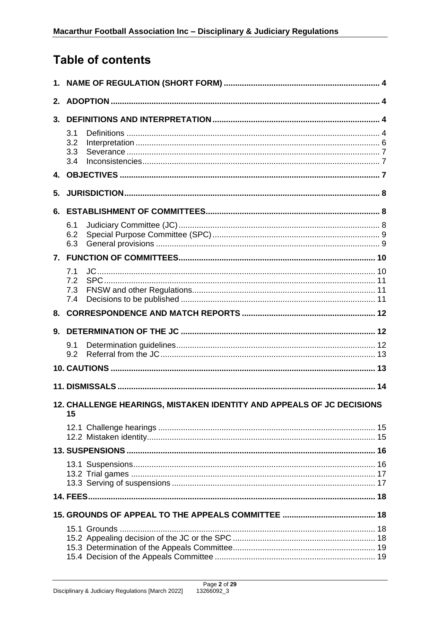## **Table of contents**

| 2.                                                                          |                          |  |  |  |  |  |
|-----------------------------------------------------------------------------|--------------------------|--|--|--|--|--|
| 3.                                                                          |                          |  |  |  |  |  |
|                                                                             | 3.1<br>3.2<br>3.3<br>3.4 |  |  |  |  |  |
|                                                                             |                          |  |  |  |  |  |
| 5.                                                                          |                          |  |  |  |  |  |
|                                                                             |                          |  |  |  |  |  |
|                                                                             | 6.1<br>6.2<br>6.3        |  |  |  |  |  |
|                                                                             |                          |  |  |  |  |  |
|                                                                             | 7.1<br>7.2<br>7.3<br>7.4 |  |  |  |  |  |
|                                                                             |                          |  |  |  |  |  |
| 9.                                                                          |                          |  |  |  |  |  |
|                                                                             | 9.1<br>9.2               |  |  |  |  |  |
|                                                                             |                          |  |  |  |  |  |
|                                                                             |                          |  |  |  |  |  |
| 12. CHALLENGE HEARINGS, MISTAKEN IDENTITY AND APPEALS OF JC DECISIONS<br>15 |                          |  |  |  |  |  |
|                                                                             |                          |  |  |  |  |  |
|                                                                             |                          |  |  |  |  |  |
|                                                                             |                          |  |  |  |  |  |
|                                                                             |                          |  |  |  |  |  |
|                                                                             |                          |  |  |  |  |  |
|                                                                             |                          |  |  |  |  |  |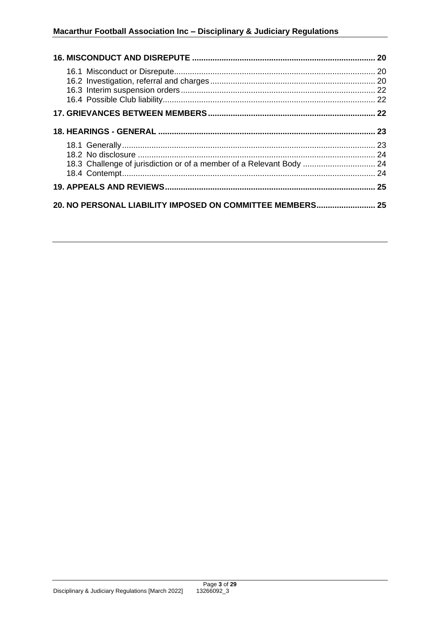## **Macarthur Football Association Inc – Disciplinary & Judiciary Regulations**

| 18.3 Challenge of jurisdiction or of a member of a Relevant Body  24 |  |  |  |  |
|----------------------------------------------------------------------|--|--|--|--|
|                                                                      |  |  |  |  |
| 20. NO PERSONAL LIABILITY IMPOSED ON COMMITTEE MEMBERS 25            |  |  |  |  |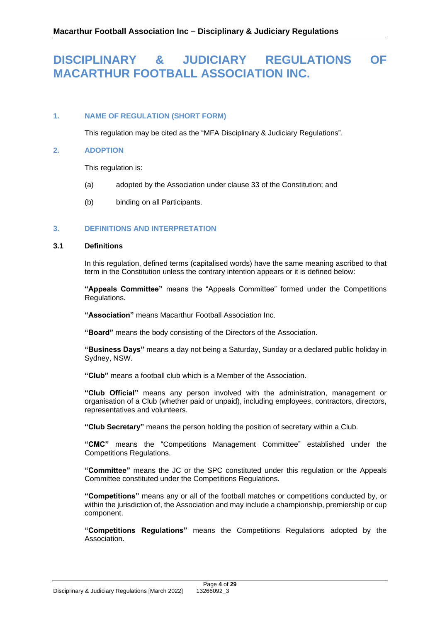## **DISCIPLINARY & JUDICIARY REGULATIONS OF MACARTHUR FOOTBALL ASSOCIATION INC.**

## <span id="page-3-0"></span>**1. NAME OF REGULATION (SHORT FORM)**

This regulation may be cited as the "MFA Disciplinary & Judiciary Regulations".

## <span id="page-3-1"></span>**2. ADOPTION**

This regulation is:

- (a) adopted by the Association under clause 33 of the Constitution; and
- (b) binding on all Participants.

## <span id="page-3-2"></span>**3. DEFINITIONS AND INTERPRETATION**

## <span id="page-3-3"></span>**3.1 Definitions**

In this regulation, defined terms (capitalised words) have the same meaning ascribed to that term in the Constitution unless the contrary intention appears or it is defined below:

**"Appeals Committee"** means the "Appeals Committee" formed under the Competitions Regulations.

**"Association"** means Macarthur Football Association Inc.

**"Board"** means the body consisting of the Directors of the Association.

**"Business Days"** means a day not being a Saturday, Sunday or a declared public holiday in Sydney, NSW.

**"Club"** means a football club which is a Member of the Association.

**"Club Official"** means any person involved with the administration, management or organisation of a Club (whether paid or unpaid), including employees, contractors, directors, representatives and volunteers.

**"Club Secretary"** means the person holding the position of secretary within a Club.

**"CMC"** means the "Competitions Management Committee" established under the Competitions Regulations.

**"Committee"** means the JC or the SPC constituted under this regulation or the Appeals Committee constituted under the Competitions Regulations.

**"Competitions"** means any or all of the football matches or competitions conducted by, or within the jurisdiction of, the Association and may include a championship, premiership or cup component.

**"Competitions Regulations"** means the Competitions Regulations adopted by the **Association**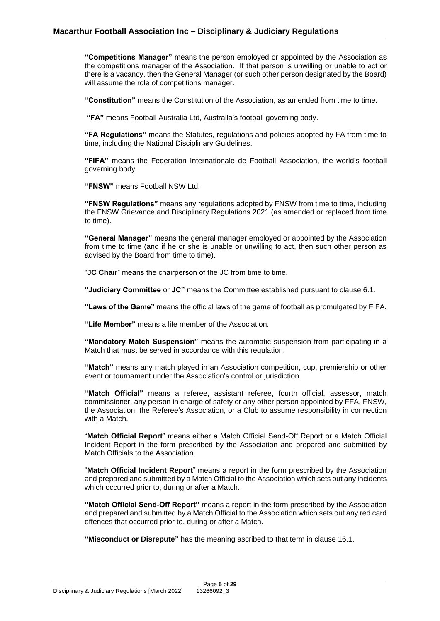**"Competitions Manager"** means the person employed or appointed by the Association as the competitions manager of the Association. If that person is unwilling or unable to act or there is a vacancy, then the General Manager (or such other person designated by the Board) will assume the role of competitions manager.

**"Constitution"** means the Constitution of the Association, as amended from time to time.

**"FA"** means Football Australia Ltd, Australia's football governing body.

**"FA Regulations"** means the Statutes, regulations and policies adopted by FA from time to time, including the National Disciplinary Guidelines.

**"FIFA"** means the Federation Internationale de Football Association, the world's football governing body.

**"FNSW"** means Football NSW Ltd.

**"FNSW Regulations"** means any regulations adopted by FNSW from time to time, including the FNSW Grievance and Disciplinary Regulations 2021 (as amended or replaced from time to time).

**"General Manager"** means the general manager employed or appointed by the Association from time to time (and if he or she is unable or unwilling to act, then such other person as advised by the Board from time to time).

"**JC Chair**" means the chairperson of the JC from time to time.

**"Judiciary Committee** or **JC"** means the Committee established pursuant to clause [6.1.](#page-7-2)

**"Laws of the Game"** means the official laws of the game of football as promulgated by FIFA.

**"Life Member"** means a life member of the Association.

**"Mandatory Match Suspension"** means the automatic suspension from participating in a Match that must be served in accordance with this regulation.

**"Match"** means any match played in an Association competition, cup, premiership or other event or tournament under the Association's control or jurisdiction.

**"Match Official"** means a referee, assistant referee, fourth official, assessor, match commissioner, any person in charge of safety or any other person appointed by FFA, FNSW, the Association, the Referee's Association, or a Club to assume responsibility in connection with a Match.

"**Match Official Report**" means either a Match Official Send-Off Report or a Match Official Incident Report in the form prescribed by the Association and prepared and submitted by Match Officials to the Association.

"**Match Official Incident Report**" means a report in the form prescribed by the Association and prepared and submitted by a Match Official to the Association which sets out any incidents which occurred prior to, during or after a Match.

**"Match Official Send-Off Report"** means a report in the form prescribed by the Association and prepared and submitted by a Match Official to the Association which sets out any red card offences that occurred prior to, during or after a Match.

**"Misconduct or Disrepute"** has the meaning ascribed to that term in clause [16.1.](#page-19-1)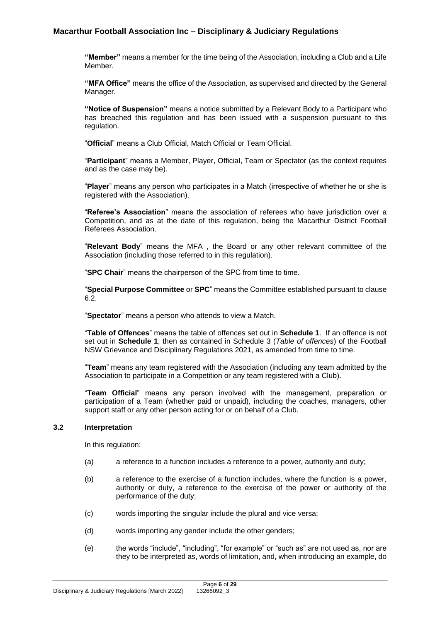**"Member"** means a member for the time being of the Association, including a Club and a Life Member.

**"MFA Office"** means the office of the Association, as supervised and directed by the General Manager.

**"Notice of Suspension"** means a notice submitted by a Relevant Body to a Participant who has breached this regulation and has been issued with a suspension pursuant to this regulation.

"**Official**" means a Club Official, Match Official or Team Official.

"**Participant**" means a Member, Player, Official, Team or Spectator (as the context requires and as the case may be).

"**Player**" means any person who participates in a Match (irrespective of whether he or she is registered with the Association).

"**Referee's Association**" means the association of referees who have jurisdiction over a Competition, and as at the date of this regulation, being the Macarthur District Football Referees Association.

"**Relevant Body**" means the MFA , the Board or any other relevant committee of the Association (including those referred to in this regulation).

"**SPC Chair**" means the chairperson of the SPC from time to time.

"**Special Purpose Committee** or **SPC**" means the Committee established pursuant to clause [6.2.](#page-8-0)

"**Spectator**" means a person who attends to view a Match.

"**Table of Offences**" means the table of offences set out in **Schedule 1**. If an offence is not set out in **Schedule 1**, then as contained in Schedule 3 (*Table of offences*) of the Football NSW Grievance and Disciplinary Regulations 2021, as amended from time to time.

"**Team**" means any team registered with the Association (including any team admitted by the Association to participate in a Competition or any team registered with a Club).

"**Team Official**" means any person involved with the management, preparation or participation of a Team (whether paid or unpaid), including the coaches, managers, other support staff or any other person acting for or on behalf of a Club.

## <span id="page-5-0"></span>**3.2 Interpretation**

In this regulation:

- (a) a reference to a function includes a reference to a power, authority and duty;
- (b) a reference to the exercise of a function includes, where the function is a power, authority or duty, a reference to the exercise of the power or authority of the performance of the duty;
- (c) words importing the singular include the plural and vice versa;
- (d) words importing any gender include the other genders;
- (e) the words "include", "including", "for example" or "such as" are not used as, nor are they to be interpreted as, words of limitation, and, when introducing an example, do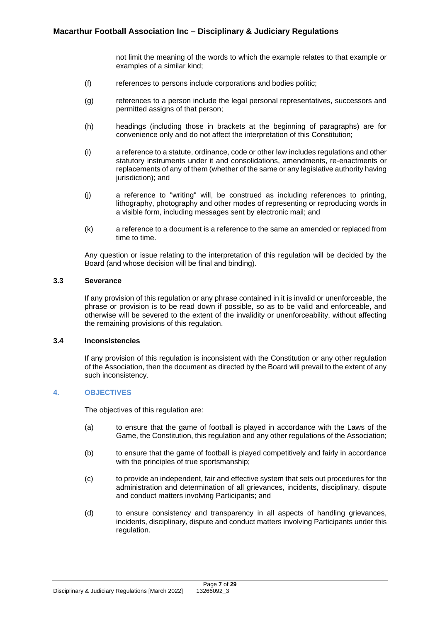not limit the meaning of the words to which the example relates to that example or examples of a similar kind;

- (f) references to persons include corporations and bodies politic;
- (g) references to a person include the legal personal representatives, successors and permitted assigns of that person;
- (h) headings (including those in brackets at the beginning of paragraphs) are for convenience only and do not affect the interpretation of this Constitution;
- (i) a reference to a statute, ordinance, code or other law includes regulations and other statutory instruments under it and consolidations, amendments, re-enactments or replacements of any of them (whether of the same or any legislative authority having jurisdiction); and
- (j) a reference to "writing" will, be construed as including references to printing, lithography, photography and other modes of representing or reproducing words in a visible form, including messages sent by electronic mail; and
- (k) a reference to a document is a reference to the same an amended or replaced from time to time.

Any question or issue relating to the interpretation of this regulation will be decided by the Board (and whose decision will be final and binding).

## <span id="page-6-0"></span>**3.3 Severance**

If any provision of this regulation or any phrase contained in it is invalid or unenforceable, the phrase or provision is to be read down if possible, so as to be valid and enforceable, and otherwise will be severed to the extent of the invalidity or unenforceability, without affecting the remaining provisions of this regulation.

### <span id="page-6-1"></span>**3.4 Inconsistencies**

If any provision of this regulation is inconsistent with the Constitution or any other regulation of the Association, then the document as directed by the Board will prevail to the extent of any such inconsistency.

## <span id="page-6-2"></span>**4. OBJECTIVES**

The objectives of this regulation are:

- (a) to ensure that the game of football is played in accordance with the Laws of the Game, the Constitution, this regulation and any other regulations of the Association;
- (b) to ensure that the game of football is played competitively and fairly in accordance with the principles of true sportsmanship:
- (c) to provide an independent, fair and effective system that sets out procedures for the administration and determination of all grievances, incidents, disciplinary, dispute and conduct matters involving Participants; and
- (d) to ensure consistency and transparency in all aspects of handling grievances, incidents, disciplinary, dispute and conduct matters involving Participants under this regulation.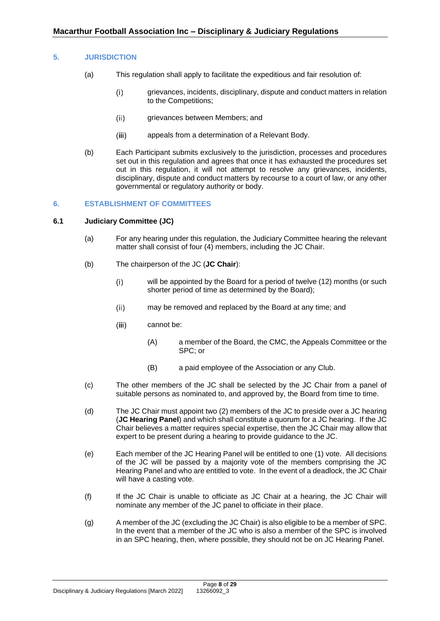## <span id="page-7-0"></span>**5. JURISDICTION**

- (a) This regulation shall apply to facilitate the expeditious and fair resolution of:
	- grievances, incidents, disciplinary, dispute and conduct matters in relation  $(i)$ to the Competitions;
	- $(ii)$ grievances between Members; and
	- appeals from a determination of a Relevant Body.  $(iii)$
- (b) Each Participant submits exclusively to the jurisdiction, processes and procedures set out in this regulation and agrees that once it has exhausted the procedures set out in this regulation, it will not attempt to resolve any grievances, incidents, disciplinary, dispute and conduct matters by recourse to a court of law, or any other governmental or regulatory authority or body.

### <span id="page-7-1"></span>**6. ESTABLISHMENT OF COMMITTEES**

### <span id="page-7-2"></span>**6.1 Judiciary Committee (JC)**

- (a) For any hearing under this regulation, the Judiciary Committee hearing the relevant matter shall consist of four (4) members, including the JC Chair.
- (b) The chairperson of the JC (**JC Chair**):
	- will be appointed by the Board for a period of twelve (12) months (or such  $(i)$ shorter period of time as determined by the Board);
	- $(ii)$ may be removed and replaced by the Board at any time; and
	- $(iii)$ cannot be:
		- (A) a member of the Board, the CMC, the Appeals Committee or the SPC; or
		- (B) a paid employee of the Association or any Club.
- (c) The other members of the JC shall be selected by the JC Chair from a panel of suitable persons as nominated to, and approved by, the Board from time to time.
- (d) The JC Chair must appoint two (2) members of the JC to preside over a JC hearing (**JC Hearing Panel**) and which shall constitute a quorum for a JC hearing. If the JC Chair believes a matter requires special expertise, then the JC Chair may allow that expert to be present during a hearing to provide guidance to the JC.
- (e) Each member of the JC Hearing Panel will be entitled to one (1) vote. All decisions of the JC will be passed by a majority vote of the members comprising the JC Hearing Panel and who are entitled to vote. In the event of a deadlock, the JC Chair will have a casting vote.
- (f) If the JC Chair is unable to officiate as JC Chair at a hearing, the JC Chair will nominate any member of the JC panel to officiate in their place.
- (g) A member of the JC (excluding the JC Chair) is also eligible to be a member of SPC. In the event that a member of the JC who is also a member of the SPC is involved in an SPC hearing, then, where possible, they should not be on JC Hearing Panel.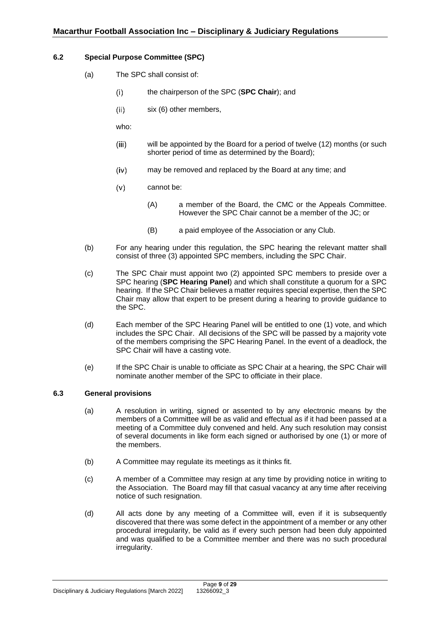## <span id="page-8-0"></span>**6.2 Special Purpose Committee (SPC)**

- (a) The SPC shall consist of:
	- the chairperson of the SPC (**SPC Chair**); and  $(i)$
	- $(ii)$ six (6) other members,

who:

- will be appointed by the Board for a period of twelve (12) months (or such  $(iii)$ shorter period of time as determined by the Board);
- $(iv)$ may be removed and replaced by the Board at any time; and
- $(v)$ cannot be:
	- (A) a member of the Board, the CMC or the Appeals Committee. However the SPC Chair cannot be a member of the JC; or
	- (B) a paid employee of the Association or any Club.
- (b) For any hearing under this regulation, the SPC hearing the relevant matter shall consist of three (3) appointed SPC members, including the SPC Chair.
- (c) The SPC Chair must appoint two (2) appointed SPC members to preside over a SPC hearing (**SPC Hearing Panel**) and which shall constitute a quorum for a SPC hearing. If the SPC Chair believes a matter requires special expertise, then the SPC Chair may allow that expert to be present during a hearing to provide guidance to the SPC.
- (d) Each member of the SPC Hearing Panel will be entitled to one (1) vote, and which includes the SPC Chair. All decisions of the SPC will be passed by a majority vote of the members comprising the SPC Hearing Panel. In the event of a deadlock, the SPC Chair will have a casting vote.
- (e) If the SPC Chair is unable to officiate as SPC Chair at a hearing, the SPC Chair will nominate another member of the SPC to officiate in their place.

## <span id="page-8-1"></span>**6.3 General provisions**

- (a) A resolution in writing, signed or assented to by any electronic means by the members of a Committee will be as valid and effectual as if it had been passed at a meeting of a Committee duly convened and held. Any such resolution may consist of several documents in like form each signed or authorised by one (1) or more of the members.
- (b) A Committee may regulate its meetings as it thinks fit.
- (c) A member of a Committee may resign at any time by providing notice in writing to the Association. The Board may fill that casual vacancy at any time after receiving notice of such resignation.
- (d) All acts done by any meeting of a Committee will, even if it is subsequently discovered that there was some defect in the appointment of a member or any other procedural irregularity, be valid as if every such person had been duly appointed and was qualified to be a Committee member and there was no such procedural irregularity.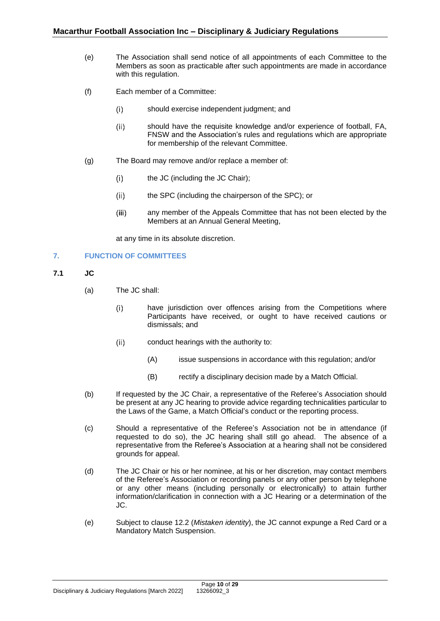- (e) The Association shall send notice of all appointments of each Committee to the Members as soon as practicable after such appointments are made in accordance with this regulation.
- (f) Each member of a Committee:
	- $(i)$ should exercise independent judgment; and
	- $(ii)$ should have the requisite knowledge and/or experience of football, FA, FNSW and the Association's rules and regulations which are appropriate for membership of the relevant Committee.
- (g) The Board may remove and/or replace a member of:
	- $(i)$ the JC (including the JC Chair);
	- $(ii)$ the SPC (including the chairperson of the SPC); or
	- $(iii)$ any member of the Appeals Committee that has not been elected by the Members at an Annual General Meeting,

at any time in its absolute discretion.

## <span id="page-9-0"></span>**7. FUNCTION OF COMMITTEES**

- <span id="page-9-1"></span>**7.1 JC**
	- (a) The JC shall:
		- have jurisdiction over offences arising from the Competitions where  $(i)$ Participants have received, or ought to have received cautions or dismissals; and
		- $(ii)$ conduct hearings with the authority to:
			- (A) issue suspensions in accordance with this regulation; and/or
			- (B) rectify a disciplinary decision made by a Match Official.
	- (b) If requested by the JC Chair, a representative of the Referee's Association should be present at any JC hearing to provide advice regarding technicalities particular to the Laws of the Game, a Match Official's conduct or the reporting process.
	- (c) Should a representative of the Referee's Association not be in attendance (if requested to do so), the JC hearing shall still go ahead. The absence of a representative from the Referee's Association at a hearing shall not be considered grounds for appeal.
	- (d) The JC Chair or his or her nominee, at his or her discretion, may contact members of the Referee's Association or recording panels or any other person by telephone or any other means (including personally or electronically) to attain further information/clarification in connection with a JC Hearing or a determination of the JC.
	- (e) Subject to clause [12.2](#page-14-2) (*Mistaken identity*), the JC cannot expunge a Red Card or a Mandatory Match Suspension.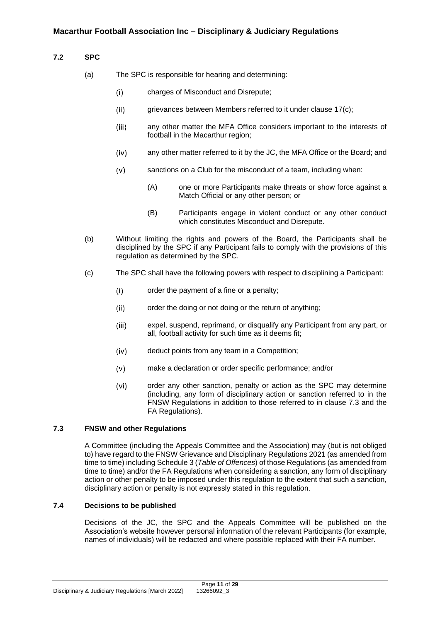## <span id="page-10-0"></span>**7.2 SPC**

- (a) The SPC is responsible for hearing and determining:
	- charges of Misconduct and Disrepute;  $(i)$
	- grievances between Members referred to it under clause [17\(c\);](#page-22-2)  $(ii)$
	- $(iii)$ any other matter the MFA Office considers important to the interests of football in the Macarthur region;
	- any other matter referred to it by the JC, the MFA Office or the Board; and  $(iv)$
	- $(v)$ sanctions on a Club for the misconduct of a team, including when:
		- (A) one or more Participants make threats or show force against a Match Official or any other person; or
		- (B) Participants engage in violent conduct or any other conduct which constitutes Misconduct and Disrepute.
- (b) Without limiting the rights and powers of the Board, the Participants shall be disciplined by the SPC if any Participant fails to comply with the provisions of this regulation as determined by the SPC.
- <span id="page-10-3"></span>(c) The SPC shall have the following powers with respect to disciplining a Participant:
	- $(i)$ order the payment of a fine or a penalty;
	- order the doing or not doing or the return of anything;  $(ii)$
	- expel, suspend, reprimand, or disqualify any Participant from any part, or  $(iii)$ all, football activity for such time as it deems fit;
	- deduct points from any team in a Competition;  $(iv)$
	- $(v)$ make a declaration or order specific performance; and/or
	- $(vi)$ order any other sanction, penalty or action as the SPC may determine (including, any form of disciplinary action or sanction referred to in the FNSW Regulations in addition to those referred to in clause [7.3](#page-10-1) and the FA Regulations).

### <span id="page-10-1"></span>**7.3 FNSW and other Regulations**

A Committee (including the Appeals Committee and the Association) may (but is not obliged to) have regard to the FNSW Grievance and Disciplinary Regulations 2021 (as amended from time to time) including Schedule 3 (*Table of Offences*) of those Regulations (as amended from time to time) and/or the FA Regulations when considering a sanction, any form of disciplinary action or other penalty to be imposed under this regulation to the extent that such a sanction, disciplinary action or penalty is not expressly stated in this regulation.

## <span id="page-10-2"></span>**7.4 Decisions to be published**

Decisions of the JC, the SPC and the Appeals Committee will be published on the Association's website however personal information of the relevant Participants (for example, names of individuals) will be redacted and where possible replaced with their FA number.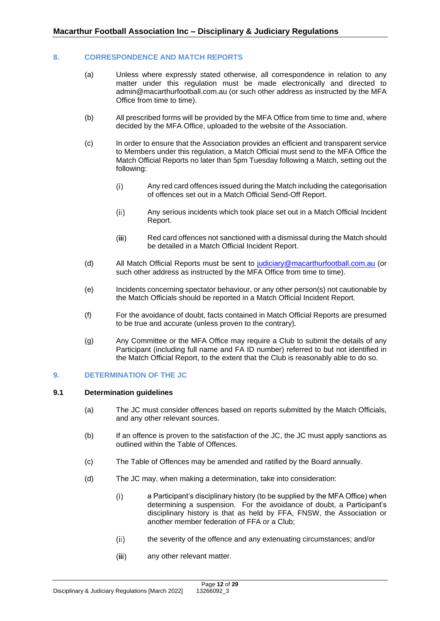## <span id="page-11-0"></span>**8. CORRESPONDENCE AND MATCH REPORTS**

- (a) Unless where expressly stated otherwise, all correspondence in relation to any matter under this regulation must be made electronically and directed to admin@macarthurfootball.com.au (or such other address as instructed by the MFA Office from time to time).
- (b) All prescribed forms will be provided by the MFA Office from time to time and, where decided by the MFA Office, uploaded to the website of the Association.
- (c) In order to ensure that the Association provides an efficient and transparent service to Members under this regulation, a Match Official must send to the MFA Office the Match Official Reports no later than 5pm Tuesday following a Match, setting out the following:
	- Any red card offences issued during the Match including the categorisation  $(i)$ of offences set out in a Match Official Send-Off Report.
	- $(ii)$ Any serious incidents which took place set out in a Match Official Incident Report.
	- Red card offences not sanctioned with a dismissal during the Match should  $(iii)$ be detailed in a Match Official Incident Report.
- (d) All Match Official Reports must be sent to [judiciary@macarthurfootball.com.au](mailto:judiciary@macarthurfootball.com.au) (or such other address as instructed by the MFA Office from time to time).
- (e) Incidents concerning spectator behaviour, or any other person(s) not cautionable by the Match Officials should be reported in a Match Official Incident Report.
- (f) For the avoidance of doubt, facts contained in Match Official Reports are presumed to be true and accurate (unless proven to the contrary).
- (g) Any Committee or the MFA Office may require a Club to submit the details of any Participant (including full name and FA ID number) referred to but not identified in the Match Official Report, to the extent that the Club is reasonably able to do so.

### <span id="page-11-1"></span>**9. DETERMINATION OF THE JC**

### <span id="page-11-2"></span>**9.1 Determination guidelines**

- (a) The JC must consider offences based on reports submitted by the Match Officials, and any other relevant sources.
- (b) If an offence is proven to the satisfaction of the JC, the JC must apply sanctions as outlined within the Table of Offences.
- (c) The Table of Offences may be amended and ratified by the Board annually.
- (d) The JC may, when making a determination, take into consideration:
	- $(i)$ a Participant's disciplinary history (to be supplied by the MFA Office) when determining a suspension. For the avoidance of doubt, a Participant's disciplinary history is that as held by FFA, FNSW, the Association or another member federation of FFA or a Club;
	- the severity of the offence and any extenuating circumstances; and/or  $(ii)$
	- $(iii)$ any other relevant matter.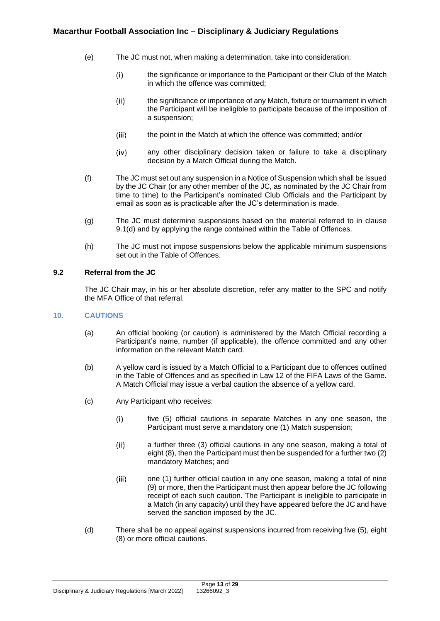- (e) The JC must not, when making a determination, take into consideration:
	- $(i)$ the significance or importance to the Participant or their Club of the Match in which the offence was committed;
	- the significance or importance of any Match, fixture or tournament in which  $(ii)$ the Participant will be ineligible to participate because of the imposition of a suspension;
	- $(iii)$ the point in the Match at which the offence was committed; and/or
	- $(iv)$ any other disciplinary decision taken or failure to take a disciplinary decision by a Match Official during the Match.
- (f) The JC must set out any suspension in a Notice of Suspension which shall be issued by the JC Chair (or any other member of the JC, as nominated by the JC Chair from time to time) to the Participant's nominated Club Officials and the Participant by email as soon as is practicable after the JC's determination is made.
- (g) The JC must determine suspensions based on the material referred to in clause [9.1\(d\)](#page-11-2) and by applying the range contained within the Table of Offences.
- (h) The JC must not impose suspensions below the applicable minimum suspensions set out in the Table of Offences.

## <span id="page-12-0"></span>**9.2 Referral from the JC**

The JC Chair may, in his or her absolute discretion, refer any matter to the SPC and notify the MFA Office of that referral.

## <span id="page-12-1"></span>**10. CAUTIONS**

- (a) An official booking (or caution) is administered by the Match Official recording a Participant's name, number (if applicable), the offence committed and any other information on the relevant Match card.
- (b) A yellow card is issued by a Match Official to a Participant due to offences outlined in the Table of Offences and as specified in Law 12 of the FIFA Laws of the Game. A Match Official may issue a verbal caution the absence of a yellow card.
- <span id="page-12-2"></span>(c) Any Participant who receives:
	- five (5) official cautions in separate Matches in any one season, the  $(i)$ Participant must serve a mandatory one (1) Match suspension;
	- $(ii)$ a further three (3) official cautions in any one season, making a total of eight (8), then the Participant must then be suspended for a further two (2) mandatory Matches; and
	- $(iii)$ one (1) further official caution in any one season, making a total of nine (9) or more, then the Participant must then appear before the JC following receipt of each such caution. The Participant is ineligible to participate in a Match (in any capacity) until they have appeared before the JC and have served the sanction imposed by the JC.
- <span id="page-12-3"></span>(d) There shall be no appeal against suspensions incurred from receiving five (5), eight (8) or more official cautions.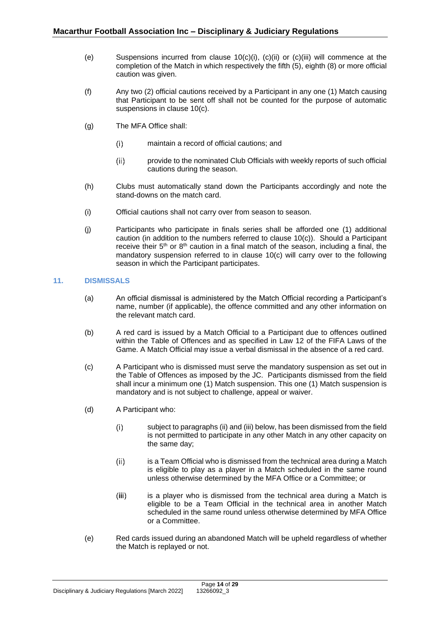- (e) Suspensions incurred from clause [10\(c\)\(i\),](#page-12-1) [\(c\)\(ii\)](#page-12-2) or [\(c\)\(iii\)](#page-12-3) will commence at the completion of the Match in which respectively the fifth (5), eighth (8) or more official caution was given.
- (f) Any two (2) official cautions received by a Participant in any one (1) Match causing that Participant to be sent off shall not be counted for the purpose of automatic suspensions in clause [10\(c\).](#page-12-1)
- (g) The MFA Office shall:
	- $(i)$ maintain a record of official cautions; and
	- $(ii)$ provide to the nominated Club Officials with weekly reports of such official cautions during the season.
- (h) Clubs must automatically stand down the Participants accordingly and note the stand-downs on the match card.
- (i) Official cautions shall not carry over from season to season.
- (j) Participants who participate in finals series shall be afforded one (1) additional caution (in addition to the numbers referred to clause [10\(c\)\)](#page-12-1). Should a Participant receive their  $5<sup>th</sup>$  or  $8<sup>th</sup>$  caution in a final match of the season, including a final, the mandatory suspension referred to in clause [10\(c\)](#page-12-1) will carry over to the following season in which the Participant participates.

## <span id="page-13-0"></span>**11. DISMISSALS**

- (a) An official dismissal is administered by the Match Official recording a Participant's name, number (if applicable), the offence committed and any other information on the relevant match card.
- (b) A red card is issued by a Match Official to a Participant due to offences outlined within the Table of Offences and as specified in Law 12 of the FIFA Laws of the Game. A Match Official may issue a verbal dismissal in the absence of a red card.
- (c) A Participant who is dismissed must serve the mandatory suspension as set out in the Table of Offences as imposed by the JC. Participants dismissed from the field shall incur a minimum one (1) Match suspension. This one (1) Match suspension is mandatory and is not subject to challenge, appeal or waiver.
- (d) A Participant who:
	- $(i)$ subject to paragraphs (ii) and (iii) below, has been dismissed from the field is not permitted to participate in any other Match in any other capacity on the same day;
	- is a Team Official who is dismissed from the technical area during a Match  $(ii)$ is eligible to play as a player in a Match scheduled in the same round unless otherwise determined by the MFA Office or a Committee; or
	- $(iii)$ is a player who is dismissed from the technical area during a Match is eligible to be a Team Official in the technical area in another Match scheduled in the same round unless otherwise determined by MFA Office or a Committee.
- (e) Red cards issued during an abandoned Match will be upheld regardless of whether the Match is replayed or not.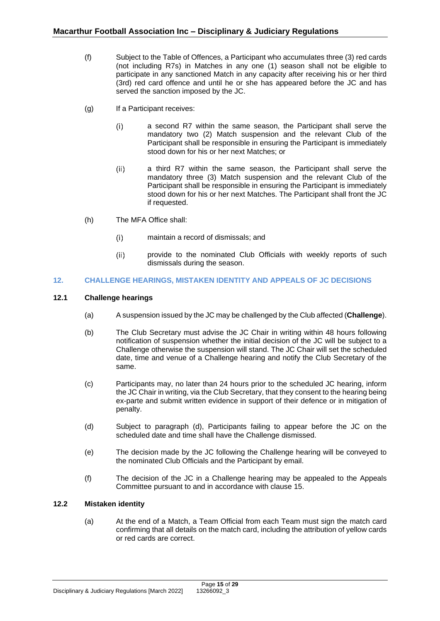- (f) Subject to the Table of Offences, a Participant who accumulates three (3) red cards (not including R7s) in Matches in any one (1) season shall not be eligible to participate in any sanctioned Match in any capacity after receiving his or her third (3rd) red card offence and until he or she has appeared before the JC and has served the sanction imposed by the JC.
- (g) If a Participant receives:
	- $(i)$ a second R7 within the same season, the Participant shall serve the mandatory two (2) Match suspension and the relevant Club of the Participant shall be responsible in ensuring the Participant is immediately stood down for his or her next Matches; or
	- $(ii)$ a third R7 within the same season, the Participant shall serve the mandatory three (3) Match suspension and the relevant Club of the Participant shall be responsible in ensuring the Participant is immediately stood down for his or her next Matches. The Participant shall front the JC if requested.
- (h) The MFA Office shall:
	- $(i)$ maintain a record of dismissals; and
	- $(ii)$ provide to the nominated Club Officials with weekly reports of such dismissals during the season.

## <span id="page-14-0"></span>**12. CHALLENGE HEARINGS, MISTAKEN IDENTITY AND APPEALS OF JC DECISIONS**

## <span id="page-14-1"></span>**12.1 Challenge hearings**

- (a) A suspension issued by the JC may be challenged by the Club affected (**Challenge**).
- (b) The Club Secretary must advise the JC Chair in writing within 48 hours following notification of suspension whether the initial decision of the JC will be subject to a Challenge otherwise the suspension will stand. The JC Chair will set the scheduled date, time and venue of a Challenge hearing and notify the Club Secretary of the same.
- (c) Participants may, no later than 24 hours prior to the scheduled JC hearing, inform the JC Chair in writing, via the Club Secretary, that they consent to the hearing being ex-parte and submit written evidence in support of their defence or in mitigation of penalty.
- (d) Subject to paragraph (d), Participants failing to appear before the JC on the scheduled date and time shall have the Challenge dismissed.
- (e) The decision made by the JC following the Challenge hearing will be conveyed to the nominated Club Officials and the Participant by email.
- (f) The decision of the JC in a Challenge hearing may be appealed to the Appeals Committee pursuant to and in accordance with claus[e 15.](#page-17-1)

## <span id="page-14-2"></span>**12.2 Mistaken identity**

(a) At the end of a Match, a Team Official from each Team must sign the match card confirming that all details on the match card, including the attribution of yellow cards or red cards are correct.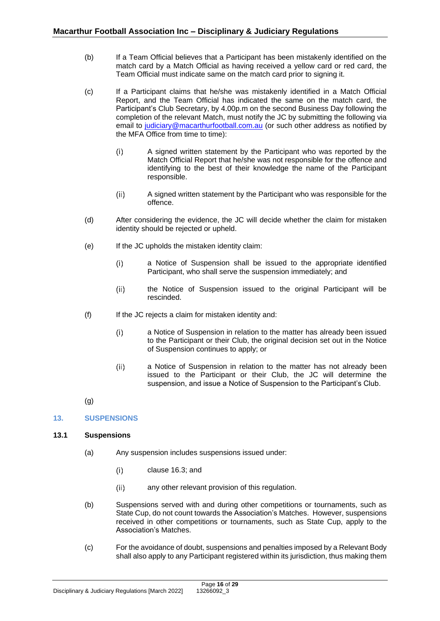- (b) If a Team Official believes that a Participant has been mistakenly identified on the match card by a Match Official as having received a yellow card or red card, the Team Official must indicate same on the match card prior to signing it.
- (c) If a Participant claims that he/she was mistakenly identified in a Match Official Report, and the Team Official has indicated the same on the match card, the Participant's Club Secretary, by 4.00p.m on the second Business Day following the completion of the relevant Match, must notify the JC by submitting the following via email to [judiciary@macarthurfootball.com.au](mailto:judiciary@macarthurfootball.com.au) (or such other address as notified by the MFA Office from time to time):
	- $(i)$ A signed written statement by the Participant who was reported by the Match Official Report that he/she was not responsible for the offence and identifying to the best of their knowledge the name of the Participant responsible.
	- $(ii)$ A signed written statement by the Participant who was responsible for the offence.
- (d) After considering the evidence, the JC will decide whether the claim for mistaken identity should be rejected or upheld.
- (e) If the JC upholds the mistaken identity claim:
	- $(i)$ a Notice of Suspension shall be issued to the appropriate identified Participant, who shall serve the suspension immediately; and
	- the Notice of Suspension issued to the original Participant will be  $(ii)$ rescinded.
- (f) If the JC rejects a claim for mistaken identity and:
	- a Notice of Suspension in relation to the matter has already been issued  $(i)$ to the Participant or their Club, the original decision set out in the Notice of Suspension continues to apply; or
	- $(ii)$ a Notice of Suspension in relation to the matter has not already been issued to the Participant or their Club, the JC will determine the suspension, and issue a Notice of Suspension to the Participant's Club.
- (g)

## <span id="page-15-0"></span>**13. SUSPENSIONS**

## <span id="page-15-1"></span>**13.1 Suspensions**

- (a) Any suspension includes suspensions issued under:
	- $(i)$ clause [16.3;](#page-21-0) and
	- $(ii)$ any other relevant provision of this regulation.
- (b) Suspensions served with and during other competitions or tournaments, such as State Cup, do not count towards the Association's Matches. However, suspensions received in other competitions or tournaments, such as State Cup, apply to the Association's Matches.
- (c) For the avoidance of doubt, suspensions and penalties imposed by a Relevant Body shall also apply to any Participant registered within its jurisdiction, thus making them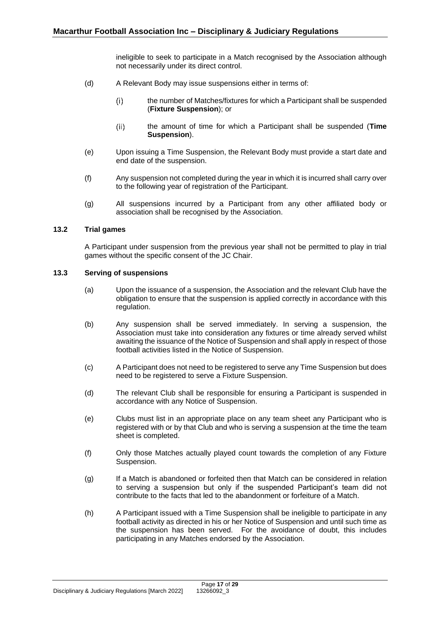ineligible to seek to participate in a Match recognised by the Association although not necessarily under its direct control.

- (d) A Relevant Body may issue suspensions either in terms of:
	- the number of Matches/fixtures for which a Participant shall be suspended  $(i)$ (**Fixture Suspension**); or
	- $(ii)$ the amount of time for which a Participant shall be suspended (**Time Suspension**).
- (e) Upon issuing a Time Suspension, the Relevant Body must provide a start date and end date of the suspension.
- (f) Any suspension not completed during the year in which it is incurred shall carry over to the following year of registration of the Participant.
- (g) All suspensions incurred by a Participant from any other affiliated body or association shall be recognised by the Association.

## <span id="page-16-0"></span>**13.2 Trial games**

A Participant under suspension from the previous year shall not be permitted to play in trial games without the specific consent of the JC Chair.

## <span id="page-16-1"></span>**13.3 Serving of suspensions**

- (a) Upon the issuance of a suspension, the Association and the relevant Club have the obligation to ensure that the suspension is applied correctly in accordance with this regulation.
- (b) Any suspension shall be served immediately. In serving a suspension, the Association must take into consideration any fixtures or time already served whilst awaiting the issuance of the Notice of Suspension and shall apply in respect of those football activities listed in the Notice of Suspension.
- (c) A Participant does not need to be registered to serve any Time Suspension but does need to be registered to serve a Fixture Suspension.
- (d) The relevant Club shall be responsible for ensuring a Participant is suspended in accordance with any Notice of Suspension.
- (e) Clubs must list in an appropriate place on any team sheet any Participant who is registered with or by that Club and who is serving a suspension at the time the team sheet is completed.
- (f) Only those Matches actually played count towards the completion of any Fixture Suspension.
- (g) If a Match is abandoned or forfeited then that Match can be considered in relation to serving a suspension but only if the suspended Participant's team did not contribute to the facts that led to the abandonment or forfeiture of a Match.
- (h) A Participant issued with a Time Suspension shall be ineligible to participate in any football activity as directed in his or her Notice of Suspension and until such time as the suspension has been served. For the avoidance of doubt, this includes participating in any Matches endorsed by the Association.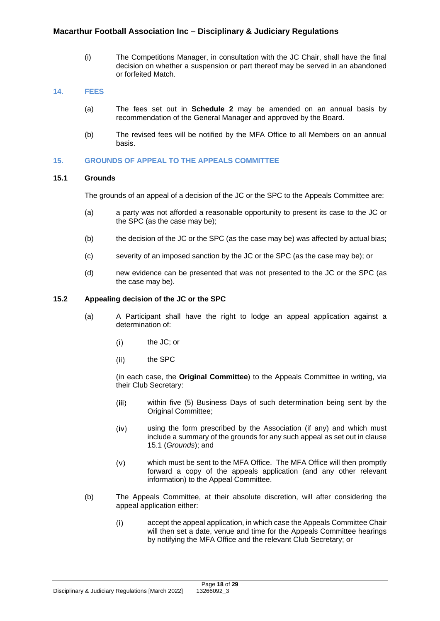(i) The Competitions Manager, in consultation with the JC Chair, shall have the final decision on whether a suspension or part thereof may be served in an abandoned or forfeited Match.

## <span id="page-17-0"></span>**14. FEES**

- (a) The fees set out in **Schedule 2** may be amended on an annual basis by recommendation of the General Manager and approved by the Board.
- (b) The revised fees will be notified by the MFA Office to all Members on an annual basis.

## <span id="page-17-1"></span>**15. GROUNDS OF APPEAL TO THE APPEALS COMMITTEE**

## <span id="page-17-2"></span>**15.1 Grounds**

The grounds of an appeal of a decision of the JC or the SPC to the Appeals Committee are:

- (a) a party was not afforded a reasonable opportunity to present its case to the JC or the SPC (as the case may be);
- (b) the decision of the JC or the SPC (as the case may be) was affected by actual bias;
- (c) severity of an imposed sanction by the JC or the SPC (as the case may be); or
- (d) new evidence can be presented that was not presented to the JC or the SPC (as the case may be).

## <span id="page-17-3"></span>**15.2 Appealing decision of the JC or the SPC**

- (a) A Participant shall have the right to lodge an appeal application against a determination of:
	- $(i)$ the JC; or
	- $(ii)$ the SPC

(in each case, the **Original Committee**) to the Appeals Committee in writing, via their Club Secretary:

- within five (5) Business Days of such determination being sent by the  $(iii)$ Original Committee;
- using the form prescribed by the Association (if any) and which must  $(iv)$ include a summary of the grounds for any such appeal as set out in clause [15.1](#page-17-2) (*Grounds*); and
- which must be sent to the MFA Office. The MFA Office will then promptly  $(v)$ forward a copy of the appeals application (and any other relevant information) to the Appeal Committee.
- (b) The Appeals Committee, at their absolute discretion, will after considering the appeal application either:
	- $(i)$ accept the appeal application, in which case the Appeals Committee Chair will then set a date, venue and time for the Appeals Committee hearings by notifying the MFA Office and the relevant Club Secretary; or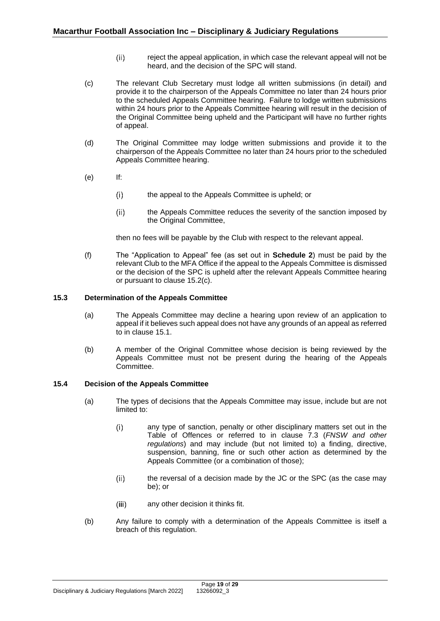- $(ii)$ reject the appeal application, in which case the relevant appeal will not be heard, and the decision of the SPC will stand.
- (c) The relevant Club Secretary must lodge all written submissions (in detail) and provide it to the chairperson of the Appeals Committee no later than 24 hours prior to the scheduled Appeals Committee hearing. Failure to lodge written submissions within 24 hours prior to the Appeals Committee hearing will result in the decision of the Original Committee being upheld and the Participant will have no further rights of appeal.
- (d) The Original Committee may lodge written submissions and provide it to the chairperson of the Appeals Committee no later than 24 hours prior to the scheduled Appeals Committee hearing.
- (e) If:
	- $(i)$ the appeal to the Appeals Committee is upheld; or
	- $(ii)$ the Appeals Committee reduces the severity of the sanction imposed by the Original Committee,

then no fees will be payable by the Club with respect to the relevant appeal.

(f) The "Application to Appeal" fee (as set out in **Schedule 2**) must be paid by the relevant Club to the MFA Office if the appeal to the Appeals Committee is dismissed or the decision of the SPC is upheld after the relevant Appeals Committee hearing or pursuant to clause [15.2\(c\).](#page-17-3)

## <span id="page-18-0"></span>**15.3 Determination of the Appeals Committee**

- (a) The Appeals Committee may decline a hearing upon review of an application to appeal if it believes such appeal does not have any grounds of an appeal as referred to in clause [15.1.](#page-17-2)
- (b) A member of the Original Committee whose decision is being reviewed by the Appeals Committee must not be present during the hearing of the Appeals Committee.

## <span id="page-18-1"></span>**15.4 Decision of the Appeals Committee**

- (a) The types of decisions that the Appeals Committee may issue, include but are not limited to:
	- $(i)$ any type of sanction, penalty or other disciplinary matters set out in the Table of Offences or referred to in clause 7.3 (*FNSW and other regulations*) and may include (but not limited to) a finding, directive, suspension, banning, fine or such other action as determined by the Appeals Committee (or a combination of those);
	- $(ii)$ the reversal of a decision made by the JC or the SPC (as the case may be); or
	- $(iii)$ any other decision it thinks fit.
- (b) Any failure to comply with a determination of the Appeals Committee is itself a breach of this regulation.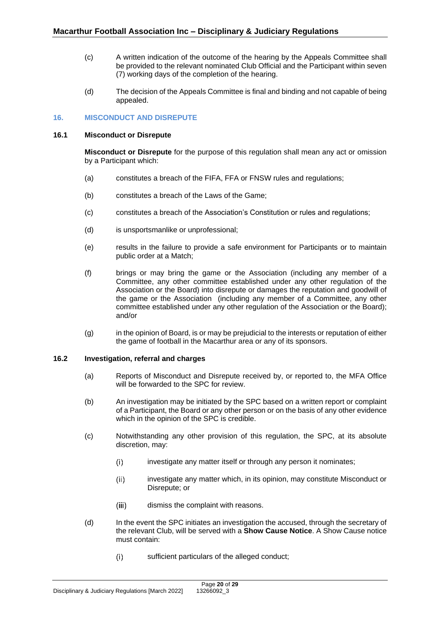- (c) A written indication of the outcome of the hearing by the Appeals Committee shall be provided to the relevant nominated Club Official and the Participant within seven (7) working days of the completion of the hearing.
- (d) The decision of the Appeals Committee is final and binding and not capable of being appealed.

## <span id="page-19-0"></span>**16. MISCONDUCT AND DISREPUTE**

### <span id="page-19-1"></span>**16.1 Misconduct or Disrepute**

**Misconduct or Disrepute** for the purpose of this regulation shall mean any act or omission by a Participant which:

- (a) constitutes a breach of the FIFA, FFA or FNSW rules and regulations;
- (b) constitutes a breach of the Laws of the Game;
- (c) constitutes a breach of the Association's Constitution or rules and regulations;
- (d) is unsportsmanlike or unprofessional;
- (e) results in the failure to provide a safe environment for Participants or to maintain public order at a Match;
- (f) brings or may bring the game or the Association (including any member of a Committee, any other committee established under any other regulation of the Association or the Board) into disrepute or damages the reputation and goodwill of the game or the Association (including any member of a Committee, any other committee established under any other regulation of the Association or the Board); and/or
- (g) in the opinion of Board, is or may be prejudicial to the interests or reputation of either the game of football in the Macarthur area or any of its sponsors.

## <span id="page-19-2"></span>**16.2 Investigation, referral and charges**

- (a) Reports of Misconduct and Disrepute received by, or reported to, the MFA Office will be forwarded to the SPC for review.
- (b) An investigation may be initiated by the SPC based on a written report or complaint of a Participant, the Board or any other person or on the basis of any other evidence which in the opinion of the SPC is credible.
- (c) Notwithstanding any other provision of this regulation, the SPC, at its absolute discretion, may:
	- $(i)$ investigate any matter itself or through any person it nominates;
	- investigate any matter which, in its opinion, may constitute Misconduct or  $(ii)$ Disrepute; or
	- dismiss the complaint with reasons.  $(iii)$
- (d) In the event the SPC initiates an investigation the accused, through the secretary of the relevant Club, will be served with a **Show Cause Notice**. A Show Cause notice must contain:
	- $(i)$ sufficient particulars of the alleged conduct;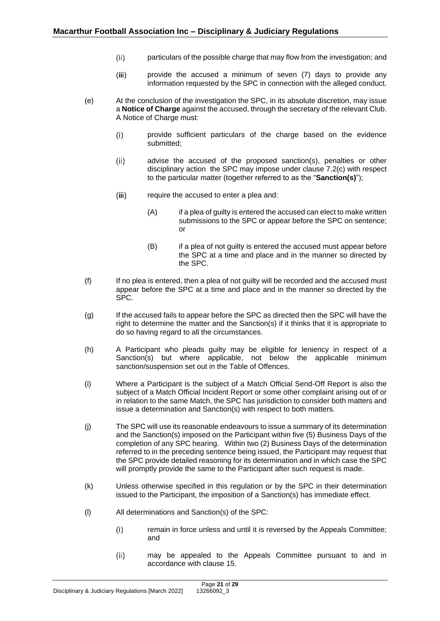- particulars of the possible charge that may flow from the investigation; and  $(ii)$
- $(iii)$ provide the accused a minimum of seven (7) days to provide any information requested by the SPC in connection with the alleged conduct.
- (e) At the conclusion of the investigation the SPC, in its absolute discretion, may issue a **Notice of Charge** against the accused, through the secretary of the relevant Club. A Notice of Charge must:
	- $(i)$ provide sufficient particulars of the charge based on the evidence submitted;
	- $(ii)$ advise the accused of the proposed sanction(s), penalties or other disciplinary action the SPC may impose under clause [7.2\(c\)](#page-10-3) with respect to the particular matter (together referred to as the "**Sanction(s)**");
	- require the accused to enter a plea and:  $(iii)$ 
		- (A) if a plea of guilty is entered the accused can elect to make written submissions to the SPC or appear before the SPC on sentence; or
		- (B) if a plea of not guilty is entered the accused must appear before the SPC at a time and place and in the manner so directed by the SPC.
- (f) If no plea is entered, then a plea of not guilty will be recorded and the accused must appear before the SPC at a time and place and in the manner so directed by the SPC.
- (g) If the accused fails to appear before the SPC as directed then the SPC will have the right to determine the matter and the Sanction(s) if it thinks that it is appropriate to do so having regard to all the circumstances.
- (h) A Participant who pleads guilty may be eligible for leniency in respect of a Sanction(s) but where applicable, not below the applicable minimum sanction/suspension set out in the Table of Offences.
- (i) Where a Participant is the subject of a Match Official Send-Off Report is also the subject of a Match Official Incident Report or some other complaint arising out of or in relation to the same Match, the SPC has jurisdiction to consider both matters and issue a determination and Sanction(s) with respect to both matters.
- (j) The SPC will use its reasonable endeavours to issue a summary of its determination and the Sanction(s) imposed on the Participant within five (5) Business Days of the completion of any SPC hearing. Within two (2) Business Days of the determination referred to in the preceding sentence being issued, the Participant may request that the SPC provide detailed reasoning for its determination and in which case the SPC will promptly provide the same to the Participant after such request is made.
- (k) Unless otherwise specified in this regulation or by the SPC in their determination issued to the Participant, the imposition of a Sanction(s) has immediate effect.
- (l) All determinations and Sanction(s) of the SPC:
	- $(i)$ remain in force unless and until it is reversed by the Appeals Committee; and
	- $(ii)$ may be appealed to the Appeals Committee pursuant to and in accordance with clause [15.](#page-17-1)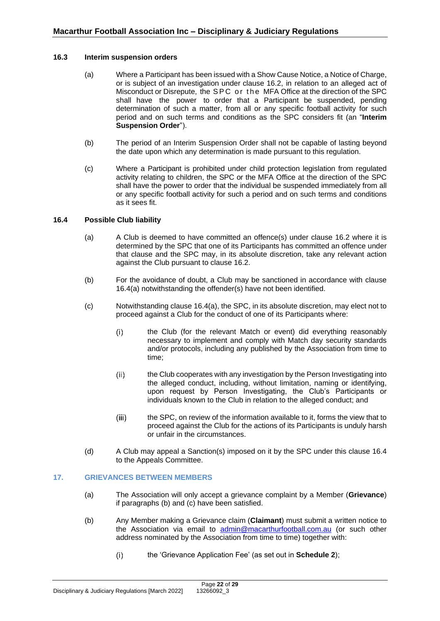### <span id="page-21-0"></span>**16.3 Interim suspension orders**

- (a) Where a Participant has been issued with a Show Cause Notice, a Notice of Charge, or is subject of an investigation under clause [16.2,](#page-19-2) in relation to an alleged act of Misconduct or Disrepute, the SPC or the MFA Office at the direction of the SPC shall have the power to order that a Participant be suspended, pending determination of such a matter, from all or any specific football activity for such period and on such terms and conditions as the SPC considers fit (an "**Interim Suspension Order**").
- (b) The period of an Interim Suspension Order shall not be capable of lasting beyond the date upon which any determination is made pursuant to this regulation.
- (c) Where a Participant is prohibited under child protection legislation from regulated activity relating to children, the SPC or the MFA Office at the direction of the SPC shall have the power to order that the individual be suspended immediately from all or any specific football activity for such a period and on such terms and conditions as it sees fit.

## <span id="page-21-1"></span>**16.4 Possible Club liability**

- (a) A Club is deemed to have committed an offence(s) under clause [16.2](#page-19-2) where it is determined by the SPC that one of its Participants has committed an offence under that clause and the SPC may, in its absolute discretion, take any relevant action against the Club pursuant to clause [16.2.](#page-19-2)
- (b) For the avoidance of doubt, a Club may be sanctioned in accordance with clause [16.4\(a\)](#page-21-1) notwithstanding the offender(s) have not been identified.
- (c) Notwithstanding clause [16.4\(a\),](#page-21-1) the SPC, in its absolute discretion, may elect not to proceed against a Club for the conduct of one of its Participants where:
	- $(i)$ the Club (for the relevant Match or event) did everything reasonably necessary to implement and comply with Match day security standards and/or protocols, including any published by the Association from time to time;
	- $(ii)$ the Club cooperates with any investigation by the Person Investigating into the alleged conduct, including, without limitation, naming or identifying, upon request by Person Investigating, the Club's Participants or individuals known to the Club in relation to the alleged conduct; and
	- the SPC, on review of the information available to it, forms the view that to  $(iii)$ proceed against the Club for the actions of its Participants is unduly harsh or unfair in the circumstances.
- (d) A Club may appeal a Sanction(s) imposed on it by the SPC under this clause [16.4](#page-21-1) to the Appeals Committee.

### <span id="page-21-2"></span>**17. GRIEVANCES BETWEEN MEMBERS**

- (a) The Association will only accept a grievance complaint by a Member (**Grievance**) if paragraphs (b) and (c) have been satisfied.
- (b) Any Member making a Grievance claim (**Claimant**) must submit a written notice to the Association via email to [admin@macarthurfootball.com.au](mailto:admin@macarthurfootball.com.au) (or such other address nominated by the Association from time to time) together with:
	- the 'Grievance Application Fee' (as set out in **Schedule 2**); $(i)$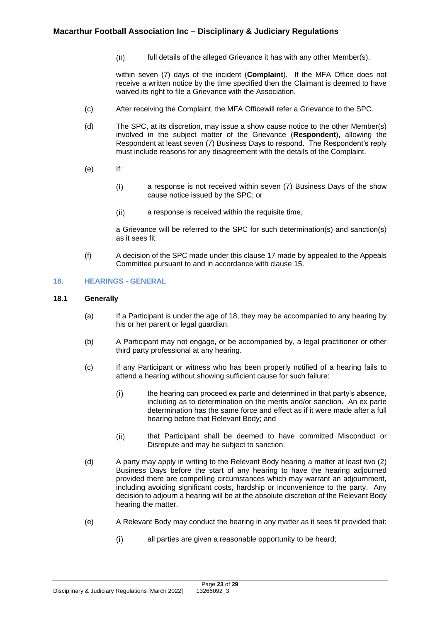full details of the alleged Grievance it has with any other Member(s),  $(ii)$ 

<span id="page-22-2"></span>within seven (7) days of the incident (**Complaint**). If the MFA Office does not receive a written notice by the time specified then the Claimant is deemed to have waived its right to file a Grievance with the Association.

- (c) After receiving the Complaint, the MFA Officewill refer a Grievance to the SPC.
- (d) The SPC, at its discretion, may issue a show cause notice to the other Member(s) involved in the subject matter of the Grievance (**Respondent**), allowing the Respondent at least seven (7) Business Days to respond. The Respondent's reply must include reasons for any disagreement with the details of the Complaint.
- (e) If:
	- a response is not received within seven (7) Business Days of the show  $(i)$ cause notice issued by the SPC; or
	- $(ii)$ a response is received within the requisite time,

a Grievance will be referred to the SPC for such determination(s) and sanction(s) as it sees fit.

(f) A decision of the SPC made under this claus[e 17](#page-21-2) made by appealed to the Appeals Committee pursuant to and in accordance with clause [15.](#page-17-1)

## <span id="page-22-0"></span>**18. HEARINGS - GENERAL**

## <span id="page-22-1"></span>**18.1 Generally**

- (a) If a Participant is under the age of 18, they may be accompanied to any hearing by his or her parent or legal guardian.
- (b) A Participant may not engage, or be accompanied by, a legal practitioner or other third party professional at any hearing.
- (c) If any Participant or witness who has been properly notified of a hearing fails to attend a hearing without showing sufficient cause for such failure:
	- $(i)$ the hearing can proceed ex parte and determined in that party's absence, including as to determination on the merits and/or sanction. An ex parte determination has the same force and effect as if it were made after a full hearing before that Relevant Body; and
	- $(ii)$ that Participant shall be deemed to have committed Misconduct or Disrepute and may be subject to sanction.
- (d) A party may apply in writing to the Relevant Body hearing a matter at least two (2) Business Days before the start of any hearing to have the hearing adjourned provided there are compelling circumstances which may warrant an adjournment, including avoiding significant costs, hardship or inconvenience to the party. Any decision to adjourn a hearing will be at the absolute discretion of the Relevant Body hearing the matter.
- (e) A Relevant Body may conduct the hearing in any matter as it sees fit provided that:
	- all parties are given a reasonable opportunity to be heard; $(i)$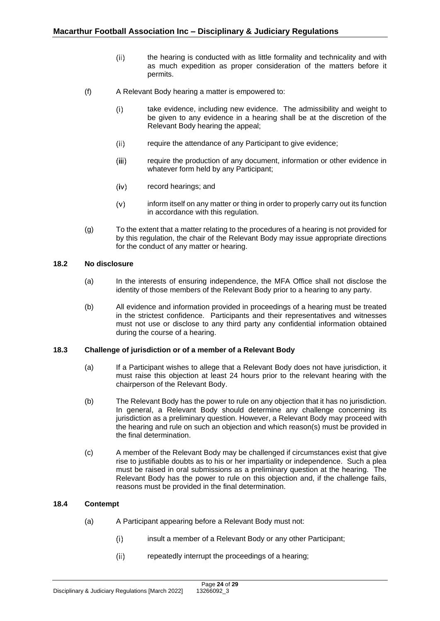- $(ii)$ the hearing is conducted with as little formality and technicality and with as much expedition as proper consideration of the matters before it permits.
- (f) A Relevant Body hearing a matter is empowered to:
	- $(i)$ take evidence, including new evidence. The admissibility and weight to be given to any evidence in a hearing shall be at the discretion of the Relevant Body hearing the appeal;
	- $(ii)$ require the attendance of any Participant to give evidence;
	- require the production of any document, information or other evidence in  $(iii)$ whatever form held by any Participant;
	- $(iv)$ record hearings; and
	- inform itself on any matter or thing in order to properly carry out its function  $(v)$ in accordance with this regulation.
- (g) To the extent that a matter relating to the procedures of a hearing is not provided for by this regulation, the chair of the Relevant Body may issue appropriate directions for the conduct of any matter or hearing.

## <span id="page-23-0"></span>**18.2 No disclosure**

- (a) In the interests of ensuring independence, the MFA Office shall not disclose the identity of those members of the Relevant Body prior to a hearing to any party.
- (b) All evidence and information provided in proceedings of a hearing must be treated in the strictest confidence. Participants and their representatives and witnesses must not use or disclose to any third party any confidential information obtained during the course of a hearing.

### <span id="page-23-1"></span>**18.3 Challenge of jurisdiction or of a member of a Relevant Body**

- (a) If a Participant wishes to allege that a Relevant Body does not have jurisdiction, it must raise this objection at least 24 hours prior to the relevant hearing with the chairperson of the Relevant Body.
- (b) The Relevant Body has the power to rule on any objection that it has no jurisdiction. In general, a Relevant Body should determine any challenge concerning its jurisdiction as a preliminary question. However, a Relevant Body may proceed with the hearing and rule on such an objection and which reason(s) must be provided in the final determination.
- (c) A member of the Relevant Body may be challenged if circumstances exist that give rise to justifiable doubts as to his or her impartiality or independence. Such a plea must be raised in oral submissions as a preliminary question at the hearing. The Relevant Body has the power to rule on this objection and, if the challenge fails, reasons must be provided in the final determination.

## <span id="page-23-2"></span>**18.4 Contempt**

- (a) A Participant appearing before a Relevant Body must not:
	- $(i)$ insult a member of a Relevant Body or any other Participant;
	- $(ii)$ repeatedly interrupt the proceedings of a hearing;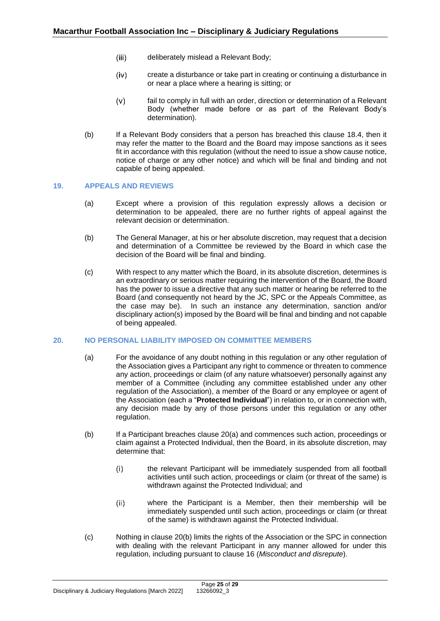- $(iii)$ deliberately mislead a Relevant Body;
- $(iv)$ create a disturbance or take part in creating or continuing a disturbance in or near a place where a hearing is sitting; or
- fail to comply in full with an order, direction or determination of a Relevant  $(v)$ Body (whether made before or as part of the Relevant Body's determination).
- (b) If a Relevant Body considers that a person has breached this clause [18.4,](#page-23-2) then it may refer the matter to the Board and the Board may impose sanctions as it sees fit in accordance with this regulation (without the need to issue a show cause notice, notice of charge or any other notice) and which will be final and binding and not capable of being appealed.

### <span id="page-24-0"></span>**19. APPEALS AND REVIEWS**

- (a) Except where a provision of this regulation expressly allows a decision or determination to be appealed, there are no further rights of appeal against the relevant decision or determination.
- (b) The General Manager, at his or her absolute discretion, may request that a decision and determination of a Committee be reviewed by the Board in which case the decision of the Board will be final and binding.
- (c) With respect to any matter which the Board, in its absolute discretion, determines is an extraordinary or serious matter requiring the intervention of the Board, the Board has the power to issue a directive that any such matter or hearing be referred to the Board (and consequently not heard by the JC, SPC or the Appeals Committee, as the case may be). In such an instance any determination, sanction and/or disciplinary action(s) imposed by the Board will be final and binding and not capable of being appealed.

### <span id="page-24-1"></span>**20. NO PERSONAL LIABILITY IMPOSED ON COMMITTEE MEMBERS**

- (a) For the avoidance of any doubt nothing in this regulation or any other regulation of the Association gives a Participant any right to commence or threaten to commence any action, proceedings or claim (of any nature whatsoever) personally against any member of a Committee (including any committee established under any other regulation of the Association), a member of the Board or any employee or agent of the Association (each a "**Protected Individual**") in relation to, or in connection with, any decision made by any of those persons under this regulation or any other regulation.
- (b) If a Participant breaches clause [20\(a\)](#page-24-1) and commences such action, proceedings or claim against a Protected Individual, then the Board, in its absolute discretion, may determine that:
	- the relevant Participant will be immediately suspended from all football  $(i)$ activities until such action, proceedings or claim (or threat of the same) is withdrawn against the Protected Individual; and
	- where the Participant is a Member, then their membership will be  $(ii)$ immediately suspended until such action, proceedings or claim (or threat of the same) is withdrawn against the Protected Individual.
- (c) Nothing in clause [20\(b\)](#page-24-1) limits the rights of the Association or the SPC in connection with dealing with the relevant Participant in any manner allowed for under this regulation, including pursuant to clause [16](#page-19-0) (*Misconduct and disrepute*).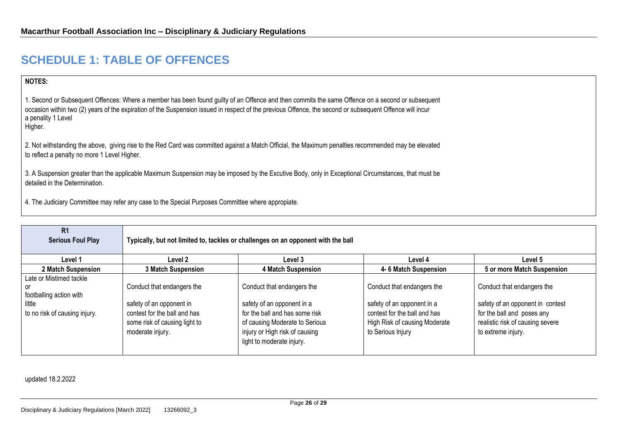## **SCHEDULE 1: TABLE OF OFFENCES**

## **NOTES:**

1. Second or Subsequent Offences: Where a member has been found guilty of an Offence and then commits the same Offence on a second or subsequent occasion within two (2) years of the expiration of the Suspension issued in respect of the previous Offence, the second or subsequent Offence will incur a penality 1 Level Higher.

2. Not withstanding the above, giving rise to the Red Card was committed against a Match Official, the Maximum penalties recommended may be elevated to reflect a penalty no more 1 Level Higher.

3. A Suspension greater than the applicable Maximum Suspension may be imposed by the Excutive Body, only in Exceptional Circumstances, that must be detailed in the Determination.

4. The Judiciary Committee may refer any case to the Special Purposes Committee where appropiate.

| R <sub>1</sub><br>Serious Foul Play                                                                 | Typically, but not limited to, tackles or challenges on an opponent with the ball                                                           |                                                                                                                                                                                             |                                                                                                                                                |                                                                                                                                                        |
|-----------------------------------------------------------------------------------------------------|---------------------------------------------------------------------------------------------------------------------------------------------|---------------------------------------------------------------------------------------------------------------------------------------------------------------------------------------------|------------------------------------------------------------------------------------------------------------------------------------------------|--------------------------------------------------------------------------------------------------------------------------------------------------------|
| Level 1                                                                                             | Level 2                                                                                                                                     | Level 3                                                                                                                                                                                     | Level 4                                                                                                                                        | Level 5                                                                                                                                                |
| 2 Match Suspension                                                                                  | <b>3 Match Suspension</b>                                                                                                                   | <b>4 Match Suspension</b>                                                                                                                                                                   | 4-6 Match Suspension                                                                                                                           | 5 or more Match Suspension                                                                                                                             |
| Late or Mistimed tackle<br>or<br>footballing action with<br>little<br>to no risk of causing injury. | Conduct that endangers the<br>safety of an opponent in<br>contest for the ball and has<br>some risk of causing light to<br>moderate injury. | Conduct that endangers the<br>safety of an opponent in a<br>for the ball and has some risk<br>of causing Moderate to Serious<br>injury or High risk of causing<br>light to moderate injury. | Conduct that endangers the<br>safety of an opponent in a<br>contest for the ball and has<br>High Risk of causing Moderate<br>to Serious Injury | Conduct that endangers the<br>safety of an opponent in contest<br>for the ball and poses any<br>realistic risk of causing severe<br>to extreme injury. |

updated 18.2.2022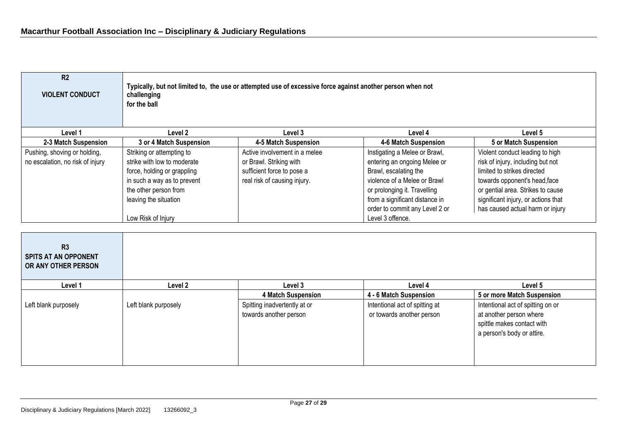| R <sub>2</sub><br><b>VIOLENT CONDUCT</b>                         | Typically, but not limited to, the use or attempted use of excessive force against another person when not<br>challenging<br>for the ball                                                      |                                                                                                                        |                                                                                                                                                                                                                                                |                                                                                                                                                                                                                                                      |
|------------------------------------------------------------------|------------------------------------------------------------------------------------------------------------------------------------------------------------------------------------------------|------------------------------------------------------------------------------------------------------------------------|------------------------------------------------------------------------------------------------------------------------------------------------------------------------------------------------------------------------------------------------|------------------------------------------------------------------------------------------------------------------------------------------------------------------------------------------------------------------------------------------------------|
| Level 1                                                          | Level 2                                                                                                                                                                                        | Level 3                                                                                                                | Level 4                                                                                                                                                                                                                                        | Level 5                                                                                                                                                                                                                                              |
| 2-3 Match Suspension                                             | 3 or 4 Match Suspension                                                                                                                                                                        | 4-5 Match Suspension                                                                                                   | 4-6 Match Suspension                                                                                                                                                                                                                           | 5 or Match Suspension                                                                                                                                                                                                                                |
| Pushing, shoving or holding,<br>no escalation, no risk of injury | Striking or attempting to<br>strike with low to moderate<br>force, holding or grappling<br>in such a way as to prevent<br>the other person from<br>leaving the situation<br>Low Risk of Injury | Active involvement in a melee<br>or Brawl. Striking with<br>sufficient force to pose a<br>real risk of causing injury. | Instigating a Melee or Brawl,<br>entering an ongoing Melee or<br>Brawl, escalating the<br>violence of a Melee or Brawl<br>or prolonging it. Travelling<br>from a significant distance in<br>order to commit any Level 2 or<br>Level 3 offence. | Violent conduct leading to high<br>risk of injury, including but not<br>limited to strikes directed<br>towards opponent's head, face<br>or gential area. Strikes to cause<br>significant injury, or actions that<br>has caused actual harm or injury |

| R3<br><b>SPITS AT AN OPPONENT</b><br>OR ANY OTHER PERSON |                      |                                                        |                                                             |                                                                                                                          |
|----------------------------------------------------------|----------------------|--------------------------------------------------------|-------------------------------------------------------------|--------------------------------------------------------------------------------------------------------------------------|
| Level 1                                                  | Level 2              | Level 3                                                | Level 4                                                     | Level 5                                                                                                                  |
|                                                          |                      | 4 Match Suspension                                     | 4 - 6 Match Suspension                                      | 5 or more Match Suspension                                                                                               |
| Left blank purposely                                     | Left blank purposely | Spitting inadvertently at or<br>towards another person | Intentional act of spitting at<br>or towards another person | Intentional act of spitting on or<br>at another person where<br>spittle makes contact with<br>a person's body or attire. |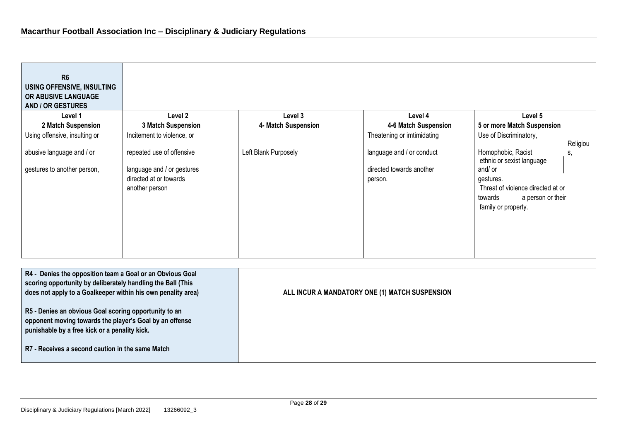<u> 1989 - Johann Barnett, mars eta bainar eta hiri (h. 1989).</u>

| R <sub>6</sub><br>USING OFFENSIVE, INSULTING<br>OR ABUSIVE LANGUAGE<br><b>AND / OR GESTURES</b>                                                                                                                                                                                                                                                                                                                   |                                                                                                     |                      |                                                                  |                                                                                                                                                                           |
|-------------------------------------------------------------------------------------------------------------------------------------------------------------------------------------------------------------------------------------------------------------------------------------------------------------------------------------------------------------------------------------------------------------------|-----------------------------------------------------------------------------------------------------|----------------------|------------------------------------------------------------------|---------------------------------------------------------------------------------------------------------------------------------------------------------------------------|
| Level 1                                                                                                                                                                                                                                                                                                                                                                                                           | Level 2                                                                                             | Level 3              | Level 4                                                          | Level 5                                                                                                                                                                   |
| 2 Match Suspension                                                                                                                                                                                                                                                                                                                                                                                                | 3 Match Suspension                                                                                  | 4- Match Suspension  | 4-6 Match Suspension                                             | 5 or more Match Suspension                                                                                                                                                |
| Using offensive, insulting or                                                                                                                                                                                                                                                                                                                                                                                     | Incitement to violence, or                                                                          |                      | Theatening or imtimidating                                       | Use of Discriminatory,<br>Religiou                                                                                                                                        |
| abusive language and / or<br>gestures to another person,                                                                                                                                                                                                                                                                                                                                                          | repeated use of offensive<br>language and / or gestures<br>directed at or towards<br>another person | Left Blank Purposely | language and / or conduct<br>directed towards another<br>person. | Homophobic, Racist<br>S,<br>ethnic or sexist language<br>and/ or<br>gestures.<br>Threat of violence directed at or<br>towards<br>a person or their<br>family or property. |
| R4 - Denies the opposition team a Goal or an Obvious Goal<br>scoring opportunity by deliberately handling the Ball (This<br>does not apply to a Goalkeeper within his own penality area)<br>R5 - Denies an obvious Goal scoring opportunity to an<br>opponent moving towards the player's Goal by an offense<br>punishable by a free kick or a penality kick.<br>R7 - Receives a second caution in the same Match |                                                                                                     |                      | ALL INCUR A MANDATORY ONE (1) MATCH SUSPENSION                   |                                                                                                                                                                           |